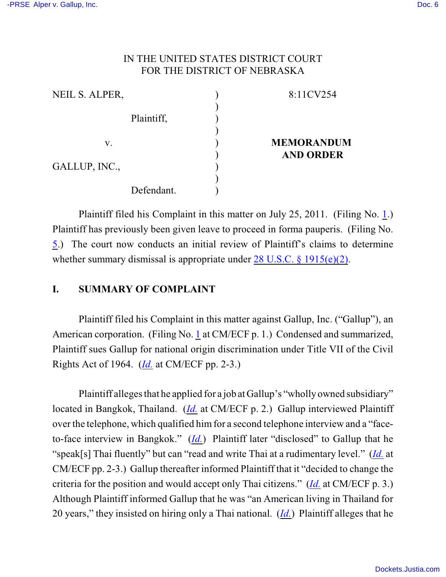## IN THE UNITED STATES DISTRICT COURT FOR THE DISTRICT OF NEBRASKA

| NEIL S. ALPER, | 8:11CV254         |
|----------------|-------------------|
|                |                   |
| Plaintiff,     |                   |
|                |                   |
| V.             | <b>MEMORANDUM</b> |
|                | <b>AND ORDER</b>  |
| GALLUP, INC.,  |                   |
| Defendant.     |                   |
|                |                   |

Plaintiff filed his Complaint in this matter on July 25, 2011. (Filing No. [1](http://ecf.ned.uscourts.gov/doc1/11302316854).) Plaintiff has previously been given leave to proceed in forma pauperis. (Filing No. [5](http://ecf.ned.uscourts.gov/doc1/11302325278).) The court now conducts an initial review of Plaintiff's claims to determine whether summary dismissal is appropriate under [28 U.S.C. § 1915\(e\)\(2\)](http://web2.westlaw.com/find/default.wl?rs=CLWP3.0&vr=2.0&cite=28+USCA+ss+1915%28e%29&ssl=n).

## **I. SUMMARY OF COMPLAINT**

Plaintiff filed his Complaint in this matter against Gallup, Inc. ("Gallup"), an American corporation. (Filing No. [1](http://ecf.ned.uscourts.gov/doc1/11302316854) at CM/ECF p. 1.) Condensed and summarized, Plaintiff sues Gallup for national origin discrimination under Title VII of the Civil Rights Act of 1964. (*[Id.](https://ecf.ned.uscourts.gov/doc1/11302316854)* at CM/ECF pp. 2-3.)

Plaintiff alleges that he applied for a job at Gallup's "wholly owned subsidiary" located in Bangkok, Thailand. (*[Id.](https://ecf.ned.uscourts.gov/doc1/11302316854)* at CM/ECF p. 2.) Gallup interviewed Plaintiff over the telephone, which qualified himfor a second telephone interview and a "faceto-face interview in Bangkok." (*[Id.](https://ecf.ned.uscourts.gov/doc1/11302316854)*) Plaintiff later "disclosed" to Gallup that he "speak[s] Thai fluently" but can "read and write Thai at a rudimentary level." (*[Id.](https://ecf.ned.uscourts.gov/doc1/11302316854)* at CM/ECF pp. 2-3.) Gallup thereafter informed Plaintiff that it "decided to change the criteria for the position and would accept only Thai citizens." (*[Id.](https://ecf.ned.uscourts.gov/doc1/11302316854)* at CM/ECF p. 3.) Although Plaintiff informed Gallup that he was "an American living in Thailand for 20 years," they insisted on hiring only a Thai national. (*[Id.](https://ecf.ned.uscourts.gov/doc1/11302316854)*) Plaintiff alleges that he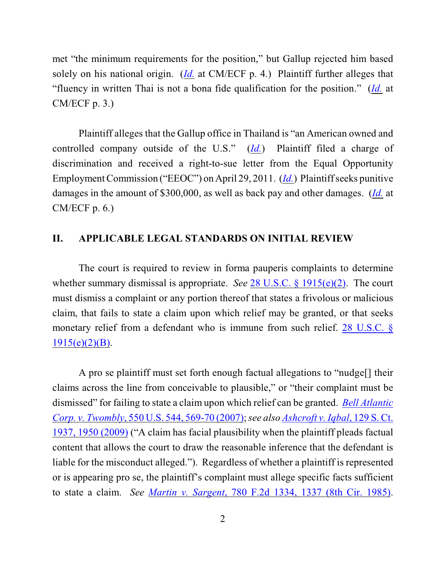met "the minimum requirements for the position," but Gallup rejected him based solely on his national origin. (*[Id.](https://ecf.ned.uscourts.gov/doc1/11302316854)* at CM/ECF p. 4.) Plaintiff further alleges that "fluency in written Thai is not a bona fide qualification for the position." (*[Id.](https://ecf.ned.uscourts.gov/doc1/11302316854)* at CM/ECF p. 3.)

Plaintiff alleges that the Gallup office in Thailand is "an American owned and controlled company outside of the U.S." (*[Id.](https://ecf.ned.uscourts.gov/doc1/11302316854)*) Plaintiff filed a charge of discrimination and received a right-to-sue letter from the Equal Opportunity Employment Commission ("EEOC") on April 29, 2011. (*[Id.](https://ecf.ned.uscourts.gov/doc1/11302316854)*) Plaintiff seeks punitive damages in the amount of \$300,000, as well as back pay and other damages. (*[Id.](https://ecf.ned.uscourts.gov/doc1/11302316854)* at CM/ECF p. 6.)

#### **II. APPLICABLE LEGAL STANDARDS ON INITIAL REVIEW**

The court is required to review in forma pauperis complaints to determine whether summary dismissal is appropriate. *See* [28 U.S.C. § 1915\(e\)\(2\)](http://www.westlaw.com/find/default.wl?rs=CLWP3.0&vr=2.0&cite=28+USCA+ss+1915%28e%29). The court must dismiss a complaint or any portion thereof that states a frivolous or malicious claim, that fails to state a claim upon which relief may be granted, or that seeks monetary relief from a defendant who is immune from such relief. [28 U.S.C. §](http://www.westlaw.com/find/default.wl?rs=CLWP3.0&vr=2.0&cite=28+USCA+s+1915%28e%29%282%29%28B%29)  $1915(e)(2)(B)$ .

A pro se plaintiff must set forth enough factual allegations to "nudge[] their claims across the line from conceivable to plausible," or "their complaint must be dismissed" for failing to state a claim upon which relief can be granted. *[Bell Atlantic](http://web2.westlaw.com/find/default.wl?fn=_top&rs=WLW9.08&rp=%2ffind%2fdefault.wl&ifm=NotSet&vr=2.0&sv=Split&cite=550+us+569) Corp. v. Twombly*[, 550 U.S. 544, 569-70 \(2007\)](http://web2.westlaw.com/find/default.wl?fn=_top&rs=WLW9.08&rp=%2ffind%2fdefault.wl&ifm=NotSet&vr=2.0&sv=Split&cite=550+us+569);*see also [Ashcroft v. Iqbal](http://web2.westlaw.com/find/default.wl?rs=WLW9.10&ifm=NotSet&fn=_top&sv=Split&cite=129+s+ct+1950&vr=2.0&rp=%2ffind%2fdefault.wl&pbc=074303F9)*, 129 S. Ct. [1937, 1950 \(2009\)](http://web2.westlaw.com/find/default.wl?rs=WLW9.10&ifm=NotSet&fn=_top&sv=Split&cite=129+s+ct+1950&vr=2.0&rp=%2ffind%2fdefault.wl&pbc=074303F9) ("A claim has facial plausibility when the plaintiff pleads factual content that allows the court to draw the reasonable inference that the defendant is liable for the misconduct alleged."). Regardless of whether a plaintiff is represented or is appearing pro se, the plaintiff's complaint must allege specific facts sufficient to state a claim. *See Martin v. Sargent*[, 780 F.2d 1334, 1337 \(8th Cir. 1985\)](http://www.westlaw.com/find/default.wl?rs=CLWP3.0&vr=2.0&cite=780+F.2d+1334).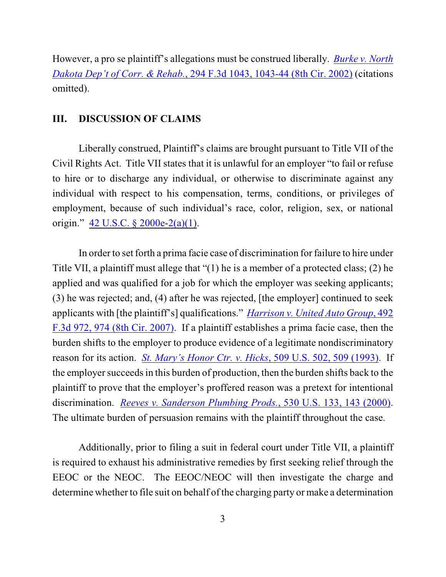However, a pro se plaintiff's allegations must be construed liberally. *[Burke v. North](http://www.westlaw.com/find/default.wl?rs=CLWP3.0&vr=2.0&cite=294+F.3d+1043) [Dakota Dep't of Corr. & Rehab.](http://www.westlaw.com/find/default.wl?rs=CLWP3.0&vr=2.0&cite=294+F.3d+1043)*, 294 F.3d 1043, 1043-44 (8th Cir. 2002) (citations omitted).

### **III. DISCUSSION OF CLAIMS**

Liberally construed, Plaintiff's claims are brought pursuant to Title VII of the Civil Rights Act. Title VII states that it is unlawful for an employer "to fail or refuse to hire or to discharge any individual, or otherwise to discriminate against any individual with respect to his compensation, terms, conditions, or privileges of employment, because of such individual's race, color, religion, sex, or national origin." [42 U.S.C. § 2000e-2\(a\)\(1\)](http://www.westlaw.com/find/default.wl?rs=CLWP3.0&vr=2.0&cite=42+USCA+s+2000e-2%28a%29%281%29).

In order to set forth a prima facie case of discrimination for failure to hire under Title VII, a plaintiff must allege that "(1) he is a member of a protected class; (2) he applied and was qualified for a job for which the employer was seeking applicants; (3) he was rejected; and, (4) after he was rejected, [the employer] continued to seek applicants with [the plaintiff's] qualifications." *Harrison v. United [Auto Group](http://web2.westlaw.com/find/default.wl?rp=%2ffind%2fdefault.wl&sv=Split&rs=WLW11.07&cite=492+f+3d+974&fn=_top&mt=Westlaw&vr=2.0&pbc=4EA2A181)*, 492 [F.3d 972, 974 \(8th Cir. 2007\)](http://web2.westlaw.com/find/default.wl?rp=%2ffind%2fdefault.wl&sv=Split&rs=WLW11.07&cite=492+f+3d+974&fn=_top&mt=Westlaw&vr=2.0&pbc=4EA2A181). If a plaintiff establishes a prima facie case, then the burden shifts to the employer to produce evidence of a legitimate nondiscriminatory reason for its action. *[St. Mary's Honor Ctr. v. Hicks](http://web2.westlaw.com/find/default.wl?fn=_top&rs=WLW8.07&rp=%2ffind%2fdefault.wl&vr=2.0&cite=509+U.S.+509)*, 509 U.S. 502, 509 (1993). If the employer succeeds in this burden of production, then the burden shifts back to the plaintiff to prove that the employer's proffered reason was a pretext for intentional discrimination. *[Reeves v. Sanderson Plumbing Prods.](http://web2.westlaw.com/find/default.wl?fn=_top&rs=WLW8.07&rp=%2ffind%2fdefault.wl&vr=2.0&cite=530+U.S.+143)*, 530 U.S. 133, 143 (2000). The ultimate burden of persuasion remains with the plaintiff throughout the case.

Additionally, prior to filing a suit in federal court under Title VII, a plaintiff is required to exhaust his administrative remedies by first seeking relief through the EEOC or the NEOC. The EEOC/NEOC will then investigate the charge and determine whether to file suit on behalf of the charging party or make a determination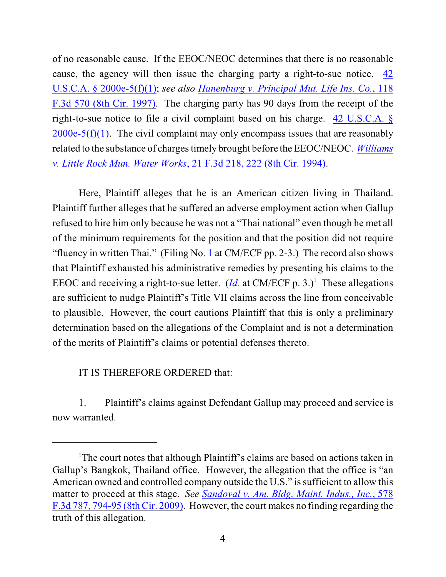of no reasonable cause. If the EEOC/NEOC determines that there is no reasonable cause, the agency will then issue the charging party a right-to-sue notice. [42](http://www.westlaw.com/find/default.wl?rs=CLWP3.0&vr=2.0&cite=42+USCA+s+2000e-5%28f%29%281%29) [U.S.C.A. § 2000e-5\(f\)\(1\)](http://www.westlaw.com/find/default.wl?rs=CLWP3.0&vr=2.0&cite=42+USCA+s+2000e-5%28f%29%281%29); *see also [Hanenburg v. Principal Mut. Life Ins. Co.](http://www.westlaw.com/find/default.wl?rs=CLWP3.0&vr=2.0&cite=118+F.3d+570)*, 118 [F.3d 570 \(8th Cir. 1997\)](http://www.westlaw.com/find/default.wl?rs=CLWP3.0&vr=2.0&cite=118+F.3d+570). The charging party has 90 days from the receipt of the right-to-sue notice to file a civil complaint based on his charge. [42 U.S.C.A. §](http://www.westlaw.com/find/default.wl?rs=CLWP3.0&vr=2.0&cite=42+USCA+s+2000e-5%28f%29%281%29)  $2000e-5(f)(1)$ . The civil complaint may only encompass issues that are reasonably related to the substance of charges timely brought before the EEOC/NEOC. *[Williams](http://web2.westlaw.com/find/default.wl?fn=_top&rs=WLW8.07&rp=%2ffind%2fdefault.wl&vr=2.0&cite=21+F.3d+222) v. Little Rock Mun. Water Works*[, 21 F.3d 218, 222 \(8th Cir. 1994\)](http://web2.westlaw.com/find/default.wl?fn=_top&rs=WLW8.07&rp=%2ffind%2fdefault.wl&vr=2.0&cite=21+F.3d+222).

Here, Plaintiff alleges that he is an American citizen living in Thailand. Plaintiff further alleges that he suffered an adverse employment action when Gallup refused to hire him only because he was not a "Thai national" even though he met all of the minimum requirements for the position and that the position did not require "fluency in written Thai." (Filing No.  $\underline{1}$  at CM/ECF pp. 2-3.) The record also shows that Plaintiff exhausted his administrative remedies by presenting his claims to the EEOC and receiving a right-to-sue letter. (*[Id.](https://ecf.ned.uscourts.gov/doc1/11302316854)* at CM/ECF p. 3.)<sup>1</sup> These allegations are sufficient to nudge Plaintiff's Title VII claims across the line from conceivable to plausible. However, the court cautions Plaintiff that this is only a preliminary determination based on the allegations of the Complaint and is not a determination of the merits of Plaintiff's claims or potential defenses thereto.

# IT IS THEREFORE ORDERED that:

1. Plaintiff's claims against Defendant Gallup may proceed and service is now warranted.

<sup>&</sup>lt;sup>1</sup>The court notes that although Plaintiff's claims are based on actions taken in Gallup's Bangkok, Thailand office. However, the allegation that the office is "an American owned and controlled company outside the U.S." is sufficient to allow this matter to proceed at this stage. *See [Sandoval v. Am. Bldg. Maint. Indus., Inc.](http://web2.westlaw.com/find/default.wl?rp=%2ffind%2fdefault.wl&sv=Split&rs=WLW11.07&cite=578+f+3d+794&fn=_top&mt=Westlaw&vr=2.0&pbc=4EA2A181)*, 578 [F.3d 787, 794-95 \(8th Cir. 2009\)](http://web2.westlaw.com/find/default.wl?rp=%2ffind%2fdefault.wl&sv=Split&rs=WLW11.07&cite=578+f+3d+794&fn=_top&mt=Westlaw&vr=2.0&pbc=4EA2A181). However, the court makes no finding regarding the truth of this allegation.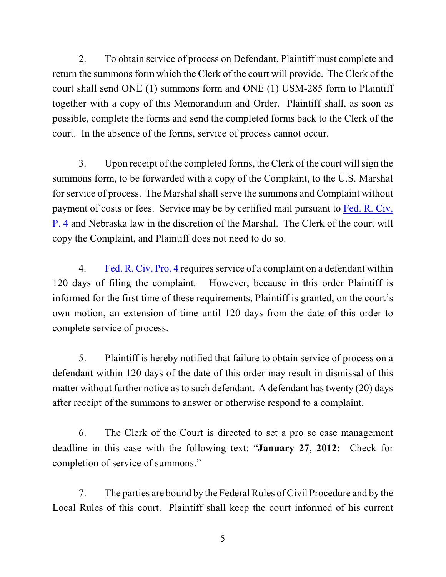2. To obtain service of process on Defendant, Plaintiff must complete and return the summons form which the Clerk of the court will provide. The Clerk of the court shall send ONE (1) summons form and ONE (1) USM-285 form to Plaintiff together with a copy of this Memorandum and Order. Plaintiff shall, as soon as possible, complete the forms and send the completed forms back to the Clerk of the court. In the absence of the forms, service of process cannot occur.

3. Upon receipt of the completed forms, the Clerk of the court will sign the summons form, to be forwarded with a copy of the Complaint, to the U.S. Marshal for service of process. The Marshal shall serve the summons and Complaint without payment of costs or fees. Service may be by certified mail pursuant to [Fed. R. Civ.](http://web2.westlaw.com/find/default.wl?rs=WLW9.07&ifm=NotSet&fn=_top&sv=Split&cite=frcp+4&vr=2.0&rp=%2ffind%2fdefault.wl&mt=Westlaw) [P. 4](http://web2.westlaw.com/find/default.wl?rs=WLW9.07&ifm=NotSet&fn=_top&sv=Split&cite=frcp+4&vr=2.0&rp=%2ffind%2fdefault.wl&mt=Westlaw) and Nebraska law in the discretion of the Marshal. The Clerk of the court will copy the Complaint, and Plaintiff does not need to do so.

4. [Fed. R. Civ. Pro. 4](http://web2.westlaw.com/find/default.wl?rs=WLW9.07&ifm=NotSet&fn=_top&sv=Split&cite=frcp+4&vr=2.0&rp=%2ffind%2fdefault.wl&mt=Westlaw) requires service of a complaint on a defendant within 120 days of filing the complaint. However, because in this order Plaintiff is informed for the first time of these requirements, Plaintiff is granted, on the court's own motion, an extension of time until 120 days from the date of this order to complete service of process.

5. Plaintiff is hereby notified that failure to obtain service of process on a defendant within 120 days of the date of this order may result in dismissal of this matter without further notice as to such defendant. A defendant has twenty  $(20)$  days after receipt of the summons to answer or otherwise respond to a complaint.

6. The Clerk of the Court is directed to set a pro se case management deadline in this case with the following text: "**January 27, 2012:** Check for completion of service of summons."

7. The parties are bound by the Federal Rules of Civil Procedure and by the Local Rules of this court. Plaintiff shall keep the court informed of his current

5